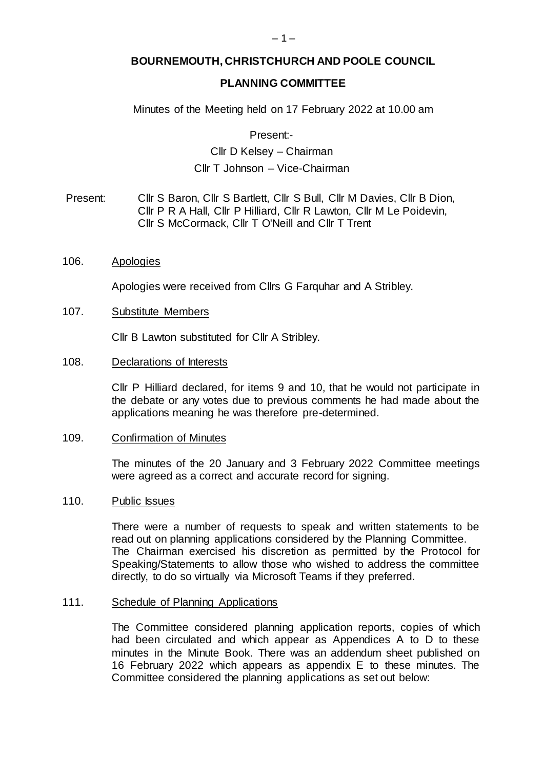# **BOURNEMOUTH, CHRISTCHURCH AND POOLE COUNCIL**

# **PLANNING COMMITTEE**

Minutes of the Meeting held on 17 February 2022 at 10.00 am

Present:-

# Cllr D Kelsey – Chairman Cllr T Johnson – Vice-Chairman

Present: Cllr S Baron, Cllr S Bartlett, Cllr S Bull, Cllr M Davies, Cllr B Dion, Cllr P R A Hall, Cllr P Hilliard, Cllr R Lawton, Cllr M Le Poidevin, Cllr S McCormack, Cllr T O'Neill and Cllr T Trent

#### 106. Apologies

Apologies were received from Cllrs G Farquhar and A Stribley.

#### 107. Substitute Members

Cllr B Lawton substituted for Cllr A Stribley.

#### 108. Declarations of Interests

Cllr P Hilliard declared, for items 9 and 10, that he would not participate in the debate or any votes due to previous comments he had made about the applications meaning he was therefore pre-determined.

#### 109. Confirmation of Minutes

The minutes of the 20 January and 3 February 2022 Committee meetings were agreed as a correct and accurate record for signing.

#### 110. Public Issues

There were a number of requests to speak and written statements to be read out on planning applications considered by the Planning Committee. The Chairman exercised his discretion as permitted by the Protocol for Speaking/Statements to allow those who wished to address the committee directly, to do so virtually via Microsoft Teams if they preferred.

#### 111. Schedule of Planning Applications

The Committee considered planning application reports, copies of which had been circulated and which appear as Appendices A to D to these minutes in the Minute Book. There was an addendum sheet published on 16 February 2022 which appears as appendix E to these minutes. The Committee considered the planning applications as set out below: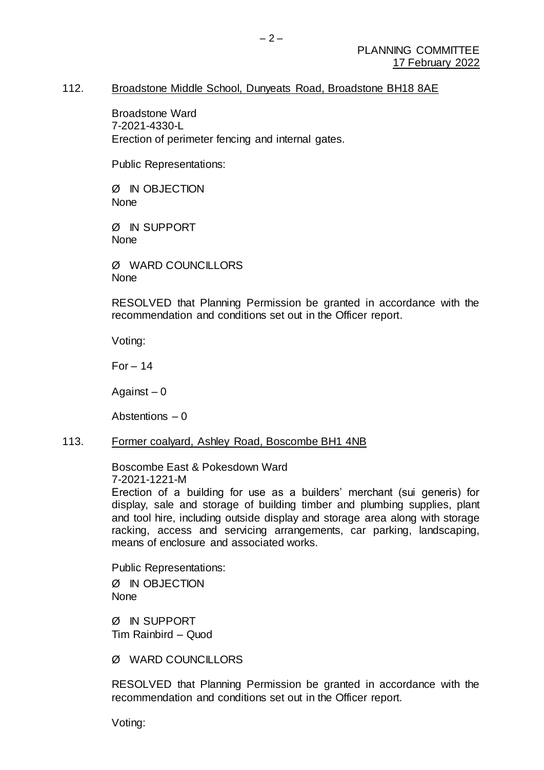### 112. Broadstone Middle School, Dunyeats Road, Broadstone BH18 8AE

Broadstone Ward 7-2021-4330-L Erection of perimeter fencing and internal gates.

Public Representations:

Ø IN OBJECTION None

Ø IN SUPPORT **None** 

Ø WARD COUNCILLORS None

RESOLVED that Planning Permission be granted in accordance with the recommendation and conditions set out in the Officer report.

Voting:

 $For - 14$ 

Against  $-0$ 

Abstentions – 0

#### 113. Former coalyard, Ashley Road, Boscombe BH1 4NB

Boscombe East & Pokesdown Ward 7-2021-1221-M

Erection of a building for use as a builders' merchant (sui generis) for display, sale and storage of building timber and plumbing supplies, plant and tool hire, including outside display and storage area along with storage racking, access and servicing arrangements, car parking, landscaping, means of enclosure and associated works.

Public Representations: Ø IN OBJECTION None

Ø IN SUPPORT Tim Rainbird – Quod

Ø WARD COUNCILLORS

RESOLVED that Planning Permission be granted in accordance with the recommendation and conditions set out in the Officer report.

Voting: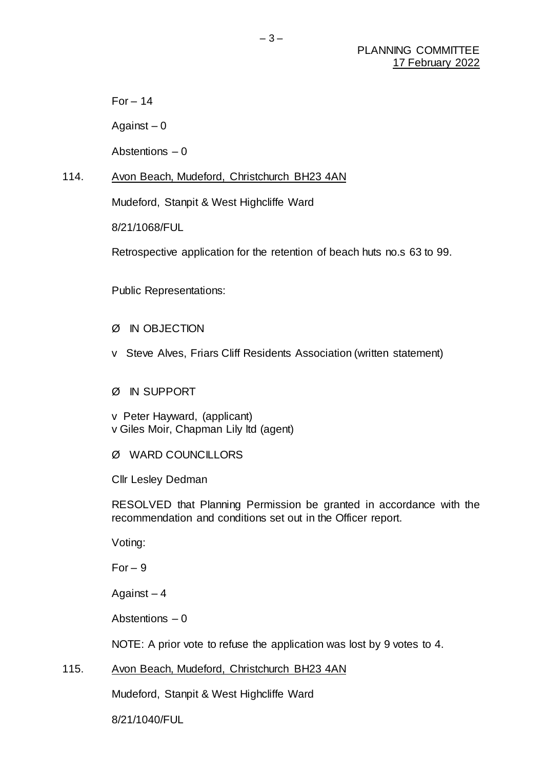$For - 14$ 

Against  $-0$ 

Abstentions – 0

## 114. Avon Beach, Mudeford, Christchurch BH23 4AN

Mudeford, Stanpit & West Highcliffe Ward

8/21/1068/FUL

Retrospective application for the retention of beach huts no.s 63 to 99.

Public Representations:

- Ø IN OBJECTION
- v Steve Alves, Friars Cliff Residents Association (written statement)

#### Ø IN SUPPORT

v Peter Hayward, (applicant) v Giles Moir, Chapman Lily ltd (agent)

# Ø WARD COUNCILLORS

Cllr Lesley Dedman

RESOLVED that Planning Permission be granted in accordance with the recommendation and conditions set out in the Officer report.

Voting:

 $For-9$ 

Against  $-4$ 

Abstentions – 0

NOTE: A prior vote to refuse the application was lost by 9 votes to 4.

# 115. Avon Beach, Mudeford, Christchurch BH23 4AN

Mudeford, Stanpit & West Highcliffe Ward

8/21/1040/FUL